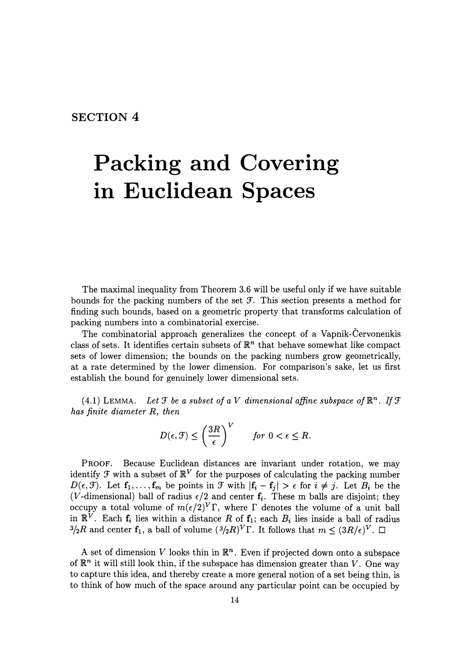**SECTION 4** 

## **Packing and Covering in Euclidean Spaces**

The maximal inequality from Theorem 3.6 will be useful only if we have suitable bounds for the packing numbers of the set  $\mathcal F$ . This section presents a method for finding such bounds, based on a geometric property that transforms calculation of packing numbers into a combinatorial exercise.

The combinatorial approach generalizes the concept of a Vapnik-Cervonenkis class of sets. It identifies certain subsets of  $\mathbb{R}^n$  that behave somewhat like compact sets of lower dimension; the bounds on the packing numbers grow geometrically, at a rate determined by the lower dimension. For comparison's sake, let us first establish the bound for genuinely lower dimensional sets.

(4.1) LEMMA. Let  $\mathcal F$  be a subset of a V dimensional affine subspace of  $\mathbb R^n$ . If  $\mathcal F$ *has finite diameter* R, *then* 

$$
D(\epsilon, \mathcal{F}) \le \left(\frac{3R}{\epsilon}\right)^V \quad \text{for } 0 < \epsilon \le R.
$$

PROOF. Because Euclidean distances are invariant under rotation, we may identify  $\mathcal F$  with a subset of  $\mathbb{R}^V$  for the purposes of calculating the packing number  $D(\epsilon, \mathcal{F})$ . Let  $\mathbf{f}_1, \ldots, \mathbf{f}_m$  be points in  $\mathcal{F}$  with  $|\mathbf{f}_i - \mathbf{f}_j| > \epsilon$  for  $i \neq j$ . Let  $B_i$  be the (V-dimensional) ball of radius  $\epsilon/2$  and center  $f_i$ . These m balls are disjoint; they occupy a total volume of  $m(\epsilon/2)^V\Gamma$ , where  $\Gamma$  denotes the volume of a unit ball in  $\mathbb{R}^V$ . Each  $f_i$  lies within a distance *R* of  $f_1$ ; each  $B_i$  lies inside a ball of radius  $3/2R$  and center  $f_1$ , a ball of volume  $(3/2R)^V\Gamma$ . It follows that  $m \leq (3R/\epsilon)^V$ .  $\Box$ 

A set of dimension V looks thin in  $\mathbb{R}^n$ . Even if projected down onto a subspace of  $\mathbb{R}^n$  it will still look thin, if the subspace has dimension greater than V. One way to capture this idea, and thereby create a more general notion of a set being thin, is to think of how much of the space around any particular point can be occupied by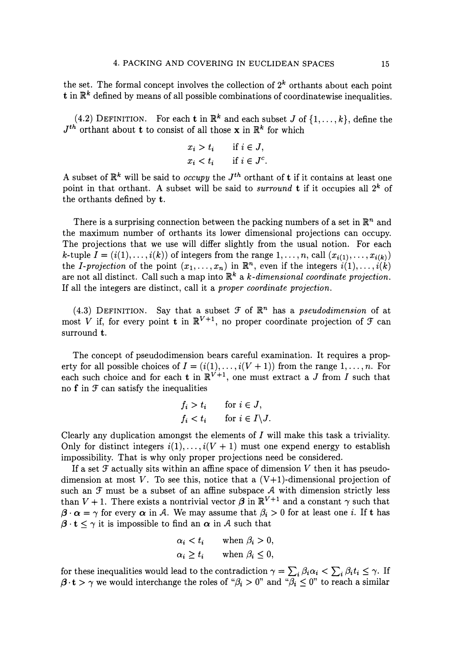the set. The formal concept involves the collection of  $2^k$  orthants about each point t in  $\mathbb{R}^k$  defined by means of all possible combinations of coordinatewise inequalities.

(4.2) DEFINITION. For each **t** in  $\mathbb{R}^k$  and each subset J of  $\{1, \ldots, k\}$ , define the  $J<sup>th</sup>$  orthant about **t** to consist of all those **x** in  $\mathbb{R}^k$  for which

$$
x_i > t_i \quad \text{if } i \in J,
$$
  

$$
x_i < t_i \quad \text{if } i \in J^c.
$$

A subset of  $\mathbb{R}^k$  will be said to *occupy* the  $J<sup>th</sup>$  orthant of **t** if it contains at least one point in that orthant. A subset will be said to *surround* **t** if it occupies all  $2^k$  of the orthants defined by **t.** 

There is a surprising connection between the packing numbers of a set in  $\mathbb{R}^n$  and the maximum number of orthants its lower dimensional projections can occupy. The projections that we use will differ slightly from the usual notion. For each k-tuple  $I = (i(1), \ldots, i(k))$  of integers from the range  $1, \ldots, n$ , call  $(x_{i(1)}, \ldots, x_{i(k)})$ the *I-projection* of the point  $(x_1, \ldots, x_n)$  in  $\mathbb{R}^n$ , even if the integers  $i(1), \ldots, i(k)$ are not all distinct. Call such a map into  $\mathbb{R}^k$  a *k*-dimensional coordinate projection. If all the integers are distinct, call it a *proper coordinate projection.* 

(4.3) DEFINITION. Say that a subset  $\mathcal F$  of  $\mathbb{R}^n$  has a *pseudodimension* of at most V if, for every point **t** in  $\mathbb{R}^{V+1}$ , no proper coordinate projection of  $\mathcal{F}$  can surround t.

The concept of pseudodimension bears careful examination. It requires a property for all possible choices of  $I = (i(1), \ldots, i(V + 1))$  from the range  $1, \ldots, n$ . For each such choice and for each **t** in  $\mathbb{R}^{V+1}$ , one must extract a J from I such that no  $f$  in  $f$  can satisfy the inequalities

$$
f_i > t_i \quad \text{for } i \in J,
$$
  

$$
f_i < t_i \quad \text{for } i \in I \setminus J.
$$

Clearly any duplication amongst the elements of  $I$  will make this task a triviality. Only for distinct integers  $i(1), \ldots, i(V + 1)$  must one expend energy to establish impossibility. That is why only proper projections need be considered.

If a set  $\mathcal F$  actually sits within an affine space of dimension V then it has pseudodimension at most  $V$ . To see this, notice that a  $(V+1)$ -dimensional projection of such an  $f$  must be a subset of an affine subspace  $A$  with dimension strictly less than  $V + 1$ . There exists a nontrivial vector  $\beta$  in  $\mathbb{R}^{V+1}$  and a constant  $\gamma$  such that  ${\boldsymbol{\beta}} \cdot {\boldsymbol{\alpha}} = \gamma$  for every  ${\boldsymbol{\alpha}}$  in A. We may assume that  $\beta_i > 0$  for at least one *i*. If t has  ${\beta} \cdot {\bf t} \leq \gamma$  it is impossible to find an  ${\alpha}$  in A such that

$$
\alpha_i < t_i \qquad \text{when } \beta_i > 0, \\
\alpha_i \ge t_i \qquad \text{when } \beta_i \le 0,
$$

for these inequalities would lead to the contradiction  $\gamma = \sum_i \beta_i \alpha_i < \sum_i \beta_i t_i \leq \gamma$ . If  $\beta \cdot t > \gamma$  we would interchange the roles of " $\beta_i > 0$ " and " $\overline{\beta_i} \leq 0$ " to reach a similar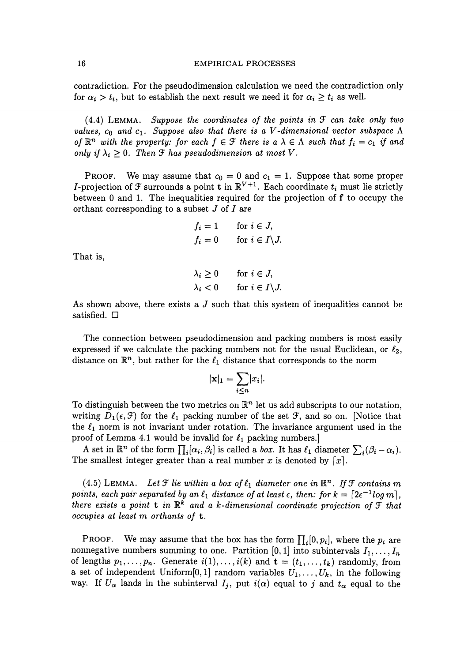contradiction. For the pseudodimension calculation we need the contradiction only for  $\alpha_i > t_i$ , but to establish the next result we need it for  $\alpha_i \geq t_i$  as well.

 $(4.4)$  LEMMA. *Suppose the coordinates of the points in*  $\mathcal F$  *can take only two values,*  $c_0$  and  $c_1$ . Suppose also that there is a V-dimensional vector subspace  $\Lambda$ *of*  $\mathbb{R}^n$  *with the property: for each*  $f \in \mathcal{F}$  *there is a*  $\lambda \in \Lambda$  *such that*  $f_i = c_1$  *if and only if*  $\lambda_i \geq 0$ . *Then*  $\mathcal{F}$  *has pseudodimension at most*  $V$ .

PROOF. We may assume that  $c_0 = 0$  and  $c_1 = 1$ . Suppose that some proper *I*-projection of  $\mathcal F$  surrounds a point **t** in  $\mathbb R^{V+1}$ . Each coordinate  $t_i$  must lie strictly between 0 and 1. The inequalities required for the projection of  $f$  to occupy the orthant corresponding to a subset J of I are

$$
f_i = 1 \quad \text{for } i \in J,
$$
  

$$
f_i = 0 \quad \text{for } i \in I \setminus J.
$$

That is,

 $\lambda_i \geq 0$  for  $i \in J$ ,  $\lambda_i < 0$  for  $i \in I \backslash J$ .

As shown above, there exists a  $J$  such that this system of inequalities cannot be satisfied.  $\Box$ 

The connection between pseudodimension and packing numbers is most easily expressed if we calculate the packing numbers not for the usual Euclidean, or  $\ell_2$ , distance on  $\mathbb{R}^n$ , but rather for the  $\ell_1$  distance that corresponds to the norm

$$
|\mathbf{x}|_1 = \sum_{i \leq n} |x_i|.
$$

To distinguish between the two metrics on  $\mathbb{R}^n$  let us add subscripts to our notation, writing  $D_1(\epsilon, \mathcal{F})$  for the  $\ell_1$  packing number of the set  $\mathcal{F}$ , and so on. [Notice that the  $\ell_1$  norm is not invariant under rotation. The invariance argument used in the proof of Lemma 4.1 would be invalid for  $\ell_1$  packing numbers.]

A set in  $\mathbb{R}^n$  of the form  $\prod_i [\alpha_i, \beta_i]$  is called a *box*. It has  $\ell_1$  diameter  $\sum_i (\beta_i - \alpha_i)$ . The smallest integer greater than a real number x is denoted by  $[x]$ .

(4.5) LEMMA. Let  $\mathcal F$  lie within a box of  $\ell_1$  diameter one in  $\mathbb{R}^n$ . If  $\mathcal F$  contains m *points, each pair separated by an*  $\ell_1$  *distance of at least*  $\epsilon$ *, then: for*  $k = \lfloor 2\epsilon^{-1} \log m \rfloor$ , *there exists a point* **t** in  $\mathbb{R}^k$  and a k-dimensional coordinate projection of  $\mathcal{F}$  that *occupies at least m orthants of* t.

**PROOF.** We may assume that the box has the form  $\prod_i [0, p_i]$ , where the  $p_i$  are nonnegative numbers summing to one. Partition  $[0, 1]$  into subintervals  $I_1, \ldots, I_n$ of lengths  $p_1, \ldots, p_n$ . Generate  $i(1), \ldots, i(k)$  and  $\mathbf{t} = (t_1, \ldots, t_k)$  randomly, from a set of independent Uniform[0,1] random variables  $U_1, \ldots, U_k$ , in the following way. If  $U_{\alpha}$  lands in the subinterval  $I_j$ , put  $i(\alpha)$  equal to j and  $t_{\alpha}$  equal to the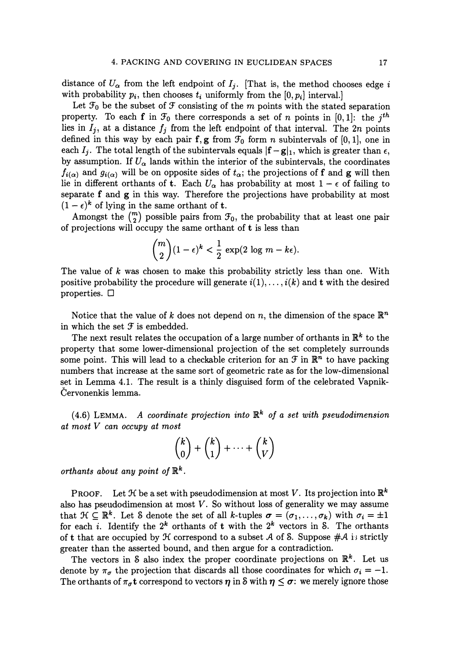distance of  $U_{\alpha}$  from the left endpoint of  $I_j$ . [That is, the method chooses edge i with probability  $p_i$ , then chooses  $t_i$  uniformly from the  $[0,p_i]$  interval.)

Let  $\mathcal{F}_0$  be the subset of  $\mathcal F$  consisting of the  $m$  points with the stated separation property. To each **f** in  $\mathcal{F}_0$  there corresponds a set of *n* points in  $[0, 1]$ : the *j<sup>th</sup>* lies in  $I_j$ , at a distance  $f_j$  from the left endpoint of that interval. The 2n points defined in this way by each pair f, g from  $\mathcal{F}_0$  form *n* subintervals of [0, 1], one in each  $I_j$ . The total length of the subintervals equals  $|{\bf f}-{\bf g}|_1$ , which is greater than  $\epsilon$ , by assumption. If  $U_{\alpha}$  lands within the interior of the subintervals, the coordinates  $f_{i(\alpha)}$  and  $g_{i(\alpha)}$  will be on opposite sides of  $t_{\alpha}$ ; the projections of f and g will then lie in different orthants of **t**. Each  $U_{\alpha}$  has probability at most  $1 - \epsilon$  of failing to separate f and g in this way. Therefore the projections have probability at most  $(1 - \epsilon)^k$  of lying in the same orthant of **t**.

Amongst the  $\binom{m}{2}$  possible pairs from  $\mathcal{F}_0$ , the probability that at least one pair of projections will occupy the same orthant of  $t$  is less than

$$
\binom{m}{2}(1-\epsilon)^k < \frac{1}{2}\,\exp(2\,\log\,m - k\epsilon).
$$

The value of *k* was chosen to make this probability strictly less than one. With positive probability the procedure will generate  $i(1), \ldots, i(k)$  and t with the desired properties.  $\Box$ 

Notice that the value of *k* does not depend on *n*, the dimension of the space  $\mathbb{R}^n$ in which the set  $f$  is embedded.

The next result relates the occupation of a large number of orthants in  $\mathbb{R}^k$  to the property that some lower-dimensional projection of the set completely surrounds some point. This will lead to a checkable criterion for an  $\mathcal{F}$  in  $\mathbb{R}^n$  to have packing numbers that increase at the same sort of geometric rate as for the low-dimensional set in Lemma 4.1. The result is a thinly disguised form of the celebrated Vapnik-Cervonenkis lemma.

 $(4.6)$  LEMMA. *A coordinate projection into*  $\mathbb{R}^k$  of a set with pseudodimension *at most V can occupy at most* 

$$
\binom{k}{0} + \binom{k}{1} + \dots + \binom{k}{V}
$$

*orthants about any point of*  $\mathbb{R}^k$ .

**PROOF.** Let  $\mathcal{H}$  be a set with pseudodimension at most V. Its projection into  $\mathbb{R}^k$ also has pseudodimension at most *V.* So without loss of generality we may assume that  $\mathcal{H} \subseteq \mathbb{R}^k$ . Let S denote the set of all k-tuples  $\sigma = (\sigma_1, \ldots, \sigma_k)$  with  $\sigma_i = \pm 1$ for each *i*. Identify the  $2^k$  orthants of t with the  $2^k$  vectors in S. The orthants of t that are occupied by  $\mathcal H$  correspond to a subset A of S. Suppose  $\#\mathcal A$  is strictly greater than the asserted bound, and then argue for a contradiction.

The vectors in S also index the proper coordinate projections on  $\mathbb{R}^k$ . Let us denote by  $\pi_{\sigma}$  the projection that discards all those coordinates for which  $\sigma_i = -1$ . The orthants of  $\pi_{\sigma}$ t correspond to vectors  $\eta$  in S with  $\eta \leq \sigma$ : we merely ignore those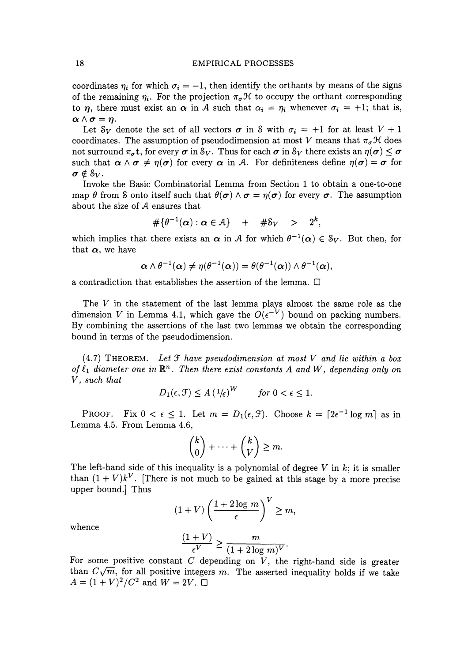## 18 EMPIRICAL PROCESSES

coordinates  $\eta_i$  for which  $\sigma_i = -1$ , then identify the orthants by means of the signs of the remaining  $\eta_i$ . For the projection  $\pi_{\sigma} \mathcal{H}$  to occupy the orthant corresponding to  $\eta$ , there must exist an  $\alpha$  in A such that  $\alpha_i = \eta_i$  whenever  $\sigma_i = +1$ ; that is,  $\alpha \wedge \sigma = n$ .

Let  $S_V$  denote the set of all vectors  $\sigma$  in S with  $\sigma_i = +1$  for at least  $V + 1$ coordinates. The assumption of pseudodimension at most *V* means that  $\pi_{\sigma} \mathcal{H}$  does not surround  $\pi_{\sigma}t$ , for every  $\sigma$  in  $\mathcal{S}_V$ . Thus for each  $\sigma$  in  $\mathcal{S}_V$  there exists an  $\eta(\sigma) \leq \sigma$ such that  $\alpha \wedge \sigma \neq \eta(\sigma)$  for every  $\alpha$  in *A*. For definiteness define  $\eta(\sigma) = \sigma$  for  $\sigma \notin S_V$ .

Invoke the Basic Combinatorial Lemma from Section 1 to obtain a one-to-one map  $\theta$  from S onto itself such that  $\theta(\sigma) \wedge \sigma = \eta(\sigma)$  for every  $\sigma$ . The assumption about the size of A ensures that

$$
\#\{\theta^{-1}(\alpha): \alpha \in \mathcal{A}\} \quad + \quad \#\mathcal{S}_V \quad > \quad 2^k,
$$

which implies that there exists an  $\alpha$  in *A* for which  $\theta^{-1}(\alpha) \in \mathcal{S}_V$ . But then, for that  $\alpha$ , we have

$$
\boldsymbol{\alpha} \wedge \theta^{-1}(\boldsymbol{\alpha}) \neq \eta(\theta^{-1}(\boldsymbol{\alpha})) = \theta(\theta^{-1}(\boldsymbol{\alpha})) \wedge \theta^{-1}(\boldsymbol{\alpha}),
$$

a contradiction that establishes the assertion of the lemma.  $\Box$ 

The *V* in the statement of the last lemma plays almost the same role as the dimension V in Lemma 4.1, which gave the  $O(\epsilon^{-V})$  bound on packing numbers. By combining the assertions of the last two lemmas we obtain the corresponding bound in terms of the pseudodimension.

 $(4.7)$  THEOREM. Let  $\mathcal F$  have pseudodimension at most V and lie within a box of  $\ell_1$  diameter one in  $\mathbb{R}^n$ . Then there exist constants A and W, depending only on *V, such that*   $\overline{117}$ 

$$
D_1(\epsilon, \mathcal{F}) \le A \left(\frac{1}{\epsilon}\right)^W \qquad \text{for } 0 < \epsilon \le 1.
$$

**PROOF.** Fix  $0 < \epsilon \leq 1$ . Let  $m = D_1(\epsilon, \mathcal{F})$ . Choose  $k = \lfloor 2\epsilon^{-1} \log m \rfloor$  as in Lemma 4.5. From Lemma 4.6,

$$
\binom{k}{0} + \cdots + \binom{k}{V} \geq m.
$$

The left-hand side of this inequality is a polynomial of degree *V* in *k;* it is smaller than  $(1 + V)k^V$ . [There is not much to be gained at this stage by a more precise upper bound.] Thus

$$
(1+V)\left(\frac{1+2\log m}{\epsilon}\right)^V \ge m,
$$

whence

$$
\frac{(1+V)}{\epsilon^V}\geq \frac{m}{(1+2\log\,m)^V}.
$$

For some positive constant  $C$  depending on  $V$ , the right-hand side is greater than  $C\sqrt{m}$ , for all positive integers *m*. The asserted inequality holds if we take  $A = (1 + V)^2 / C^2$  and  $W = 2V$ .  $\Box$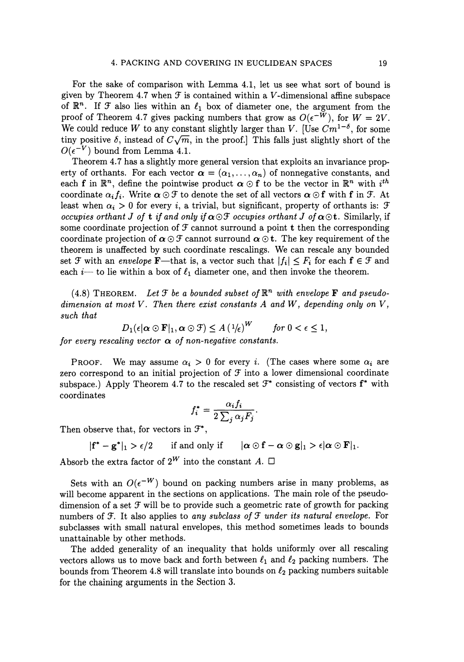For the sake of comparison with Lemma 4.1, let us see what sort of bound is given by Theorem 4.7 when  $\mathcal F$  is contained within a V-dimensional affine subspace of  $\mathbb{R}^n$ . If F also lies within an  $\ell_1$  box of diameter one, the argument from the proof of Theorem 4.7 gives packing numbers that grow as  $O(\epsilon^{-W})$ , for  $W = 2V$ . We could reduce *W* to any constant slightly larger than *V*. [Use  $Cm^{1-\delta}$ , for some tiny positive  $\delta$ , instead of  $C\sqrt{m}$ , in the proof.] This falls just slightly short of the  $O(\epsilon^{-V})$  bound from Lemma 4.1.

Theorem 4.7 has a slightly more general version that exploits an invariance property of orthants. For each vector  $\alpha = (\alpha_1, \ldots, \alpha_n)$  of nonnegative constants, and each f in  $\mathbb{R}^n$ , define the pointwise product  $\alpha \odot f$  to be the vector in  $\mathbb{R}^n$  with  $i^{th}$ coordinate  $\alpha_i f_i$ . Write  $\alpha \odot \mathcal{F}$  to denote the set of all vectors  $\alpha \odot f$  with f in  $\mathcal{F}$ . At least when  $\alpha_i > 0$  for every i, a trivial, but significant, property of orthants is:  $\mathcal F$ *occupies orthant J of t if and only if*  $\alpha \odot \mathcal{F}$  *occupies orthant J of*  $\alpha \odot t$ . Similarly, if some coordinate projection of  $\mathcal F$  cannot surround a point t then the corresponding coordinate projection of  $\alpha \odot \mathcal{F}$  cannot surround  $\alpha \odot \mathbf{t}$ . The key requirement of the theorem is unaffected by such coordinate rescalings. We can rescale any bounded set  $\mathcal F$  with an *envelope* **F**—that is, a vector such that  $|f_i| \leq F_i$  for each  $f \in \mathcal F$  and each *i*---- to lie within a box of  $\ell_1$  diameter one, and then invoke the theorem.

(4.8) THEOREM. Let  $\mathcal F$  be a bounded subset of  $\mathbb{R}^n$  with envelope **F** and pseudo*dimension at most V. Then there exist constants A and W, depending only on V, such that* 

$$
D_1(\epsilon|\alpha \odot \mathbf{F}|_1, \alpha \odot \mathcal{F}) \leq A \left(\frac{1}{\epsilon}\right)^W \quad \text{for } 0 < \epsilon \leq 1,
$$

*for every rescaling vector*  $\alpha$  *of non-negative constants.* 

PROOF. We may assume  $\alpha_i > 0$  for every i. (The cases where some  $\alpha_i$  are zero correspond to an initial projection of  $\mathcal F$  into a lower dimensional coordinate subspace.) Apply Theorem 4.7 to the rescaled set  $\mathcal{F}^*$  consisting of vectors  $f^*$  with coordinates

$$
f_i^* = \frac{\alpha_i f_i}{2 \sum_j \alpha_j F_j}.
$$

Then observe that, for vectors in  $\mathcal{F}^*$ ,

$$
|f^*-g^*|_1 > \epsilon/2 \qquad \text{if and only if} \qquad |\alpha \odot f - \alpha \odot g|_1 > \epsilon |\alpha \odot F|_1.
$$

Absorb the extra factor of  $2^W$  into the constant *A*.  $\Box$ 

Sets with an  $O(\epsilon^{-W})$  bound on packing numbers arise in many problems, as will become apparent in the sections on applications. The main role of the pseudodimension of a set  $\mathcal F$  will be to provide such a geometric rate of growth for packing numbers of  $\mathcal F$ . It also applies to *any subclass of*  $\mathcal F$  *under its natural envelope.* For subclasses with small natural envelopes, this method sometimes leads to bounds unattainable by other methods.

The added generality of an inequality that holds uniformly over all rescaling vectors allows us to move back and forth between  $\ell_1$  and  $\ell_2$  packing numbers. The bounds from Theorem 4.8 will translate into bounds on  $\ell_2$  packing numbers suitable for the chaining arguments in the Section 3.